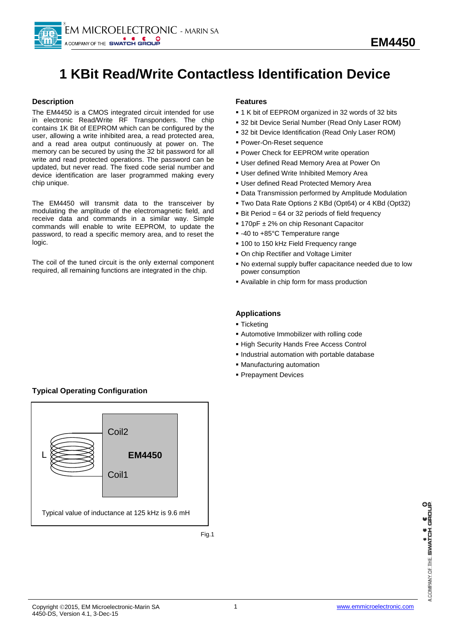

# **1 KBit Read/Write Contactless Identification Device**

# **Description**

The EM4450 is a CMOS integrated circuit intended for use in electronic Read/Write RF Transponders. The chip contains 1K Bit of EEPROM which can be configured by the user, allowing a write inhibited area, a read protected area, and a read area output continuously at power on. The memory can be secured by using the 32 bit password for all write and read protected operations. The password can be updated, but never read. The fixed code serial number and device identification are laser programmed making every chip unique.

The EM4450 will transmit data to the transceiver by modulating the amplitude of the electromagnetic field, and receive data and commands in a similar way. Simple commands will enable to write EEPROM, to update the password, to read a specific memory area, and to reset the logic.

The coil of the tuned circuit is the only external component required, all remaining functions are integrated in the chip.

# **Features**

- 1 K bit of EEPROM organized in 32 words of 32 bits
- 32 bit Device Serial Number (Read Only Laser ROM)
- 32 bit Device Identification (Read Only Laser ROM)
- Power-On-Reset sequence
- **Power Check for EEPROM write operation**
- User defined Read Memory Area at Power On
- User defined Write Inhibited Memory Area
- User defined Read Protected Memory Area
- Data Transmission performed by Amplitude Modulation
- Two Data Rate Options 2 KBd (Opt64) or 4 KBd (Opt32)
- Bit Period = 64 or 32 periods of field frequency
- 170pF ± 2% on chip Resonant Capacitor
- -40 to +85°C Temperature range
- **100 to 150 kHz Field Frequency range**
- On chip Rectifier and Voltage Limiter
- No external supply buffer capacitance needed due to low power consumption
- Available in chip form for mass production

# **Applications**

- **Ticketing**
- Automotive Immobilizer with rolling code
- **High Security Hands Free Access Control**
- Industrial automation with portable database
- Manufacturing automation
- **Prepayment Devices**

# **Typical Operating Configuration**

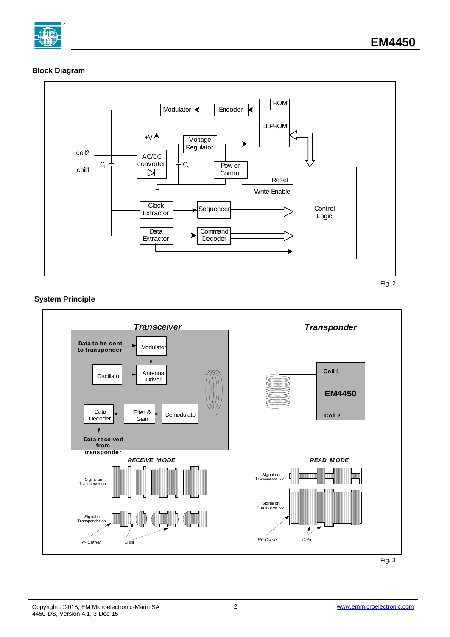

# **Block Diagram**



Fig. 2

# **System Principle**

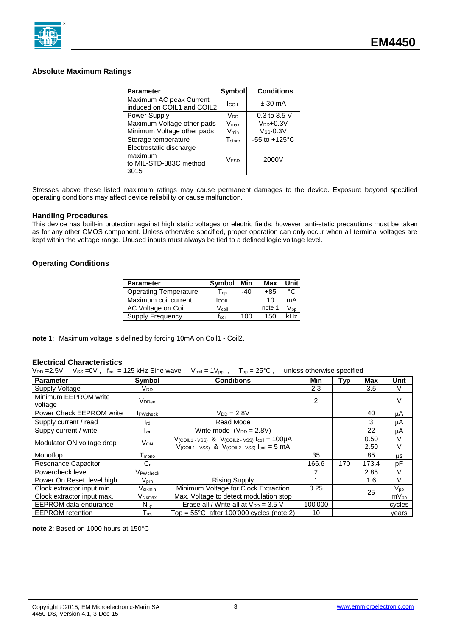

# **Absolute Maximum Ratings**

| <b>Parameter</b>                                                     | <b>Symbol</b>                 | <b>Conditions</b>         |
|----------------------------------------------------------------------|-------------------------------|---------------------------|
| Maximum AC peak Current<br>induced on COIL1 and COIL2                | <b>COIL</b>                   | $± 30$ mA                 |
| Power Supply                                                         | V <sub>DD</sub>               | $-0.3$ to 3.5 V           |
| Maximum Voltage other pads                                           | Vmax                          | $V_{DD}+0.3V$             |
| Minimum Voltage other pads                                           | $V_{min}$                     | $V$ ss-0.3 $V$            |
| Storage temperature                                                  | $\mathsf{T}_{\mathsf{store}}$ | $-55$ to $+125^{\circ}$ C |
| Electrostatic discharge<br>maximum<br>to MIL-STD-883C method<br>3015 | VESD                          | 2000V                     |

Stresses above these listed maximum ratings may cause permanent damages to the device. Exposure beyond specified operating conditions may affect device reliability or cause malfunction.

#### **Handling Procedures**

This device has built-in protection against high static voltages or electric fields; however, anti-static precautions must be taken as for any other CMOS component. Unless otherwise specified, proper operation can only occur when all terminal voltages are kept within the voltage range. Unused inputs must always be tied to a defined logic voltage level.

## **Operating Conditions**

| <b>Parameter</b>             | Symbol                     | Min   | Max    | Unit                       |
|------------------------------|----------------------------|-------|--------|----------------------------|
| <b>Operating Temperature</b> | $\mathsf{I}_{\mathsf{OD}}$ | $-40$ | $+85$  | $\circ$                    |
| Maximum coil current         | <b>I</b> coll              |       | 10     | mA                         |
| AC Voltage on Coil           | $V_{\rm coil}$             |       | note 1 | $\mathsf{V}_{\texttt{DD}}$ |
| Supply Frequency             | fcoil                      | 100   | 150    |                            |

**note 1**: Maximum voltage is defined by forcing 10mA on Coil1 - Coil2.

# **Electrical Characteristics**

 $V_{DD} = 2.5V$ ,  $V_{SS} = 0V$ ,  $f_{coil} = 125$  kHz Sine wave,  $V_{coil} = 1V_{pp}$ ,  $T_{op} = 25^{\circ}C$ , unless otherwise specified

| <b>Parameter</b>                                         | Symbol                      | <b>Conditions</b>                                                                                                                             | <b>Min</b> | <b>Typ</b> | <b>Max</b>   | Unit                             |
|----------------------------------------------------------|-----------------------------|-----------------------------------------------------------------------------------------------------------------------------------------------|------------|------------|--------------|----------------------------------|
| Supply Voltage                                           | Vdd                         |                                                                                                                                               | 2.3        |            | 3.5          | V                                |
| Minimum EEPROM write<br>voltage                          | V <sub>DDee</sub>           |                                                                                                                                               | 2          |            |              | $\vee$                           |
| Power Check EEPROM write                                 | <b>I</b> PWcheck            | $V_{DD} = 2.8V$                                                                                                                               |            |            | 40           | μA                               |
| Supply current / read                                    | $I_{\rm rd}$                | Read Mode                                                                                                                                     |            |            | 3            | μA                               |
| Suppy current / write                                    | <b>I</b> wr                 | Write mode $(V_{DD} = 2.8V)$                                                                                                                  |            |            | 22           | μA                               |
| Modulator ON voltage drop                                | <b>V<sub>ON</sub></b>       | $V$ (COIL1 - VSS) & $V$ (COIL2 - VSS) $I_{\text{coil}} = 100 \mu A$<br>$V$ (COIL1 - VSS) & $V$ (COIL2 - VSS) $I_{\text{coil}} = 5 \text{ mA}$ |            |            | 0.50<br>2.50 | V<br>v                           |
| Monoflop                                                 | T <sub>mono</sub>           |                                                                                                                                               | 35         |            | 85           | μS                               |
| Resonance Capacitor                                      | $C_{r}$                     |                                                                                                                                               | 166.6      | 170        | 173.4        | рF                               |
| Powercheck level                                         | VPWcheck                    |                                                                                                                                               | 2          |            | 2.85         | V                                |
| Power On Reset level high                                | $V_{\sf{prh}}$              | <b>Rising Supply</b>                                                                                                                          |            |            | 1.6          | $\vee$                           |
| Clock extractor input min.<br>Clock extractor input max. | Vclkmin<br>Vclkmax          | Minimum Voltage for Clock Extraction<br>Max. Voltage to detect modulation stop                                                                | 0.25       |            | 25           | $V_{\sf pp}$<br>$mV_{\text{pp}}$ |
| <b>EEPROM</b> data endurance                             | $N_{\text{cv}}$             | Erase all / Write all at $V_{DD} = 3.5$ V                                                                                                     | 100'000    |            |              | cycles                           |
| <b>EEPROM</b> retention                                  | $\mathsf{T}_{\mathsf{ret}}$ | Top = $55^{\circ}$ C after 100'000 cycles (note 2)                                                                                            | 10         |            |              | vears                            |

**note 2**: Based on 1000 hours at 150°C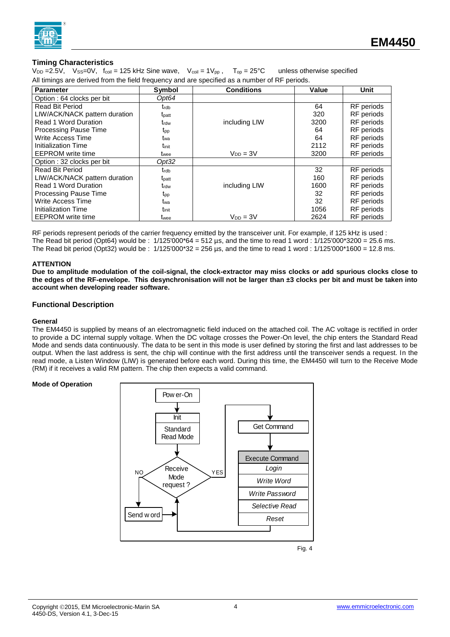

# **Timing Characteristics**

 $V_{DD} = 2.5V$ ,  $V_{SS} = 0V$ ,  $f_{coil} = 125$  kHz Sine wave,  $V_{coil} = 1V_{pp}$ ,  $T_{op} = 25^{\circ}C$  unless otherwise specified All timings are derived from the field frequency and are specified as a number of RF periods.

| <b>Parameter</b>              | Symbol            | <b>Conditions</b> | Value | Unit              |
|-------------------------------|-------------------|-------------------|-------|-------------------|
| Option: 64 clocks per bit     | Opt64             |                   |       |                   |
| <b>Read Bit Period</b>        | trdb              |                   | 64    | RF periods        |
| LIW/ACK/NACK pattern duration | t <sub>patt</sub> |                   | 320   | RF periods        |
| <b>Read 1 Word Duration</b>   | t <sub>rdw</sub>  | including LIW     | 3200  | RF periods        |
| Processing Pause Time         | t <sub>pp</sub>   |                   | 64    | RF periods        |
| Write Access Time             | t <sub>wa</sub>   |                   | 64    | <b>RF</b> periods |
| Initialization Time           | tinit             |                   | 2112  | RF periods        |
| <b>EEPROM</b> write time      | twee              | $V_{DD} = 3V$     | 3200  | RF periods        |
| Option: 32 clocks per bit     | Opt32             |                   |       |                   |
| <b>Read Bit Period</b>        | trdb              |                   | 32    | RF periods        |
| LIW/ACK/NACK pattern duration | t <sub>patt</sub> |                   | 160   | <b>RF</b> periods |
| <b>Read 1 Word Duration</b>   | trdw              | including LIW     | 1600  | RF periods        |
| <b>Processing Pause Time</b>  | t <sub>pp</sub>   |                   | 32    | RF periods        |
| Write Access Time             | twa               |                   | 32    | RF periods        |
| Initialization Time           | tinit             |                   | 1056  | RF periods        |
| <b>EEPROM</b> write time      | t <sub>wee</sub>  | $V_{DD} = 3V$     | 2624  | <b>RF</b> periods |

RF periods represent periods of the carrier frequency emitted by the transceiver unit. For example, if 125 kHz is used : The Read bit period (Opt64) would be :  $1/125'000*64 = 512 \,\mu s$ , and the time to read 1 word :  $1/125'000*3200 = 25.6 \,\text{ms}$ . The Read bit period (Opt32) would be:  $1/125'000*32 = 256$  us, and the time to read 1 word:  $1/125'000*1600 = 12.8$  ms.

#### **ATTENTION**

**Due to amplitude modulation of the coil-signal, the clock-extractor may miss clocks or add spurious clocks close to the edges of the RF-envelope. This desynchronisation will not be larger than ±3 clocks per bit and must be taken into account when developing reader software.**

#### **Functional Description**

#### **General**

The EM4450 is supplied by means of an electromagnetic field induced on the attached coil. The AC voltage is rectified in order to provide a DC internal supply voltage. When the DC voltage crosses the Power-On level, the chip enters the Standard Read Mode and sends data continuously. The data to be sent in this mode is user defined by storing the first and last addresses to be output. When the last address is sent, the chip will continue with the first address until the transceiver sends a request. In the read mode, a Listen Window (LIW) is generated before each word. During this time, the EM4450 will turn to the Receive Mode (RM) if it receives a valid RM pattern. The chip then expects a valid command.

#### **Mode of Operation**

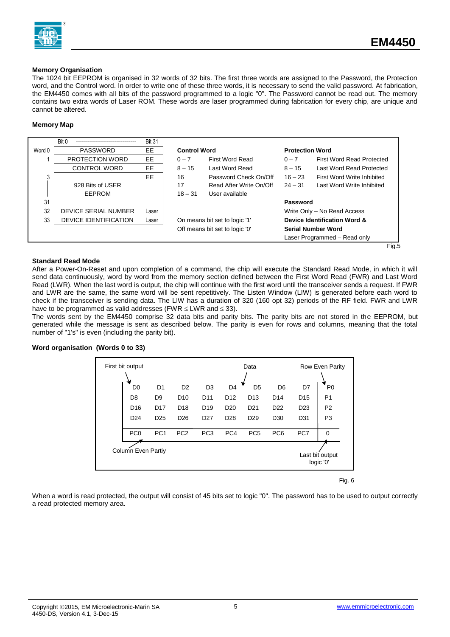

#### **Memory Organisation**

The 1024 bit EEPROM is organised in 32 words of 32 bits. The first three words are assigned to the Password, the Protection word, and the Control word. In order to write one of these three words, it is necessary to send the valid password. At fabrication, the EM4450 comes with all bits of the password programmed to a logic "0". The Password cannot be read out. The memory contains two extra words of Laser ROM. These words are laser programmed during fabrication for every chip, are unique and cannot be altered.

#### **Memory Map**



## **Standard Read Mode**

After a Power-On-Reset and upon completion of a command, the chip will execute the Standard Read Mode, in which it will send data continuously, word by word from the memory section defined between the First Word Read (FWR) and Last Word Read (LWR). When the last word is output, the chip will continue with the first word until the transceiver sends a request. If FWR and LWR are the same, the same word will be sent repetitively. The Listen Window (LIW) is generated before each word to check if the transceiver is sending data. The LIW has a duration of 320 (160 opt 32) periods of the RF field. FWR and LWR have to be programmed as valid addresses (FWR  $\leq$  LWR and  $\leq$  33).

The words sent by the EM4450 comprise 32 data bits and parity bits. The parity bits are not stored in the EEPROM, but generated while the message is sent as described below. The parity is even for rows and columns, meaning that the total number of "1's" is even (including the parity bit).

| First bit output          |                 |                 |                 |                 | Data            |                 |                 | <b>Row Even Parity</b>       |
|---------------------------|-----------------|-----------------|-----------------|-----------------|-----------------|-----------------|-----------------|------------------------------|
| D <sub>0</sub>            | D <sub>1</sub>  | D <sub>2</sub>  | D <sub>3</sub>  | D <sub>4</sub>  | D <sub>5</sub>  | D <sub>6</sub>  | D7              | P <sub>0</sub>               |
| D <sub>8</sub>            | D <sub>9</sub>  | D <sub>10</sub> | D <sub>11</sub> | D <sub>12</sub> | D <sub>13</sub> | D <sub>14</sub> | D <sub>15</sub> | P <sub>1</sub>               |
| D <sub>16</sub>           | D <sub>17</sub> | D <sub>18</sub> | D <sub>19</sub> | D <sub>20</sub> | D <sub>21</sub> | D <sub>22</sub> | D <sub>23</sub> | P <sub>2</sub>               |
| D <sub>24</sub>           | D <sub>25</sub> | D <sub>26</sub> | D <sub>27</sub> | D <sub>28</sub> | D <sub>29</sub> | D <sub>30</sub> | D31             | P <sub>3</sub>               |
| PC <sub>0</sub>           | PC <sub>1</sub> | PC <sub>2</sub> | PC <sub>3</sub> | PC <sub>4</sub> | PC <sub>5</sub> | PC <sub>6</sub> | PC7             | $\Omega$                     |
| <b>Column Even Partiy</b> |                 |                 |                 |                 |                 |                 |                 | Last bit output<br>logic '0' |

## **Word organisation (Words 0 to 33)**

Fig. 6

When a word is read protected, the output will consist of 45 bits set to logic "0". The password has to be used to output correctly a read protected memory area.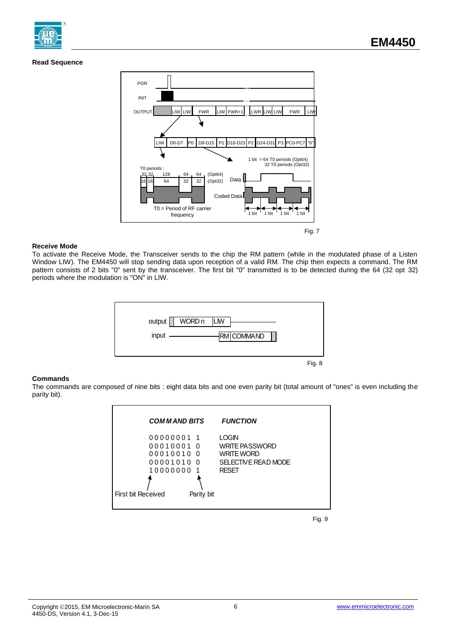## **Read Sequence**



#### **Receive Mode**

To activate the Receive Mode, the Transceiver sends to the chip the RM pattern (while in the modulated phase of a Listen Window LIW). The EM4450 will stop sending data upon reception of a valid RM. The chip then expects a command. The RM pattern consists of 2 bits "0" sent by the transceiver. The first bit "0" transmitted is to be detected during the 64 (32 opt 32) periods where the modulation is "ON" in LIW.



#### **Commands**

The commands are composed of nine bits : eight data bits and one even parity bit (total amount of "ones" is even including the parity bit).



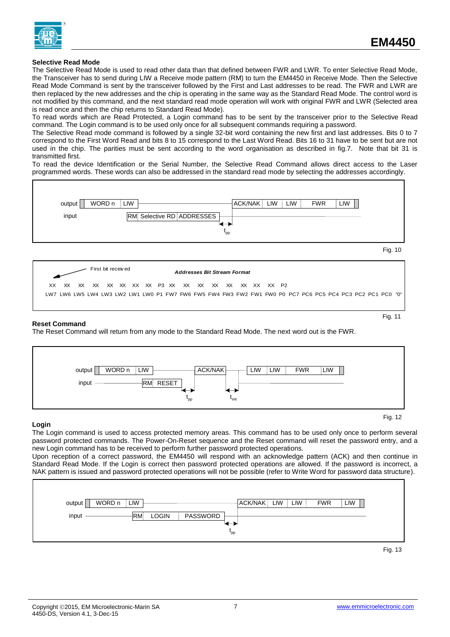

#### **Selective Read Mode**

The Selective Read Mode is used to read other data than that defined between FWR and LWR. To enter Selective Read Mode, the Transceiver has to send during LIW a Receive mode pattern (RM) to turn the EM4450 in Receive Mode. Then the Selective Read Mode Command is sent by the transceiver followed by the First and Last addresses to be read. The FWR and LWR are then replaced by the new addresses and the chip is operating in the same way as the Standard Read Mode. The control word is not modified by this command, and the next standard read mode operation will work with original FWR and LWR (Selected area is read once and then the chip returns to Standard Read Mode).

To read words which are Read Protected, a Login command has to be sent by the transceiver prior to the Selective Read command. The Login command is to be used only once for all subsequent commands requiring a password.

The Selective Read mode command is followed by a single 32-bit word containing the new first and last addresses. Bits 0 to 7 correspond to the First Word Read and bits 8 to 15 correspond to the Last Word Read. Bits 16 to 31 have to be sent but are not used in the chip. The parities must be sent according to the word organisation as described in fig.7. Note that bit 31 is transmitted first.

To read the device Identification or the Serial Number, the Selective Read Command allows direct access to the Laser programmed words. These words can also be addressed in the standard read mode by selecting the addresses accordingly.



#### **Reset Command**

The Reset Command will return from any mode to the Standard Read Mode. The next word out is the FWR.



#### **Login**

The Login command is used to access protected memory areas. This command has to be used only once to perform several password protected commands. The Power-On-Reset sequence and the Reset command will reset the password entry, and a new Login command has to be received to perform further password protected operations.

Upon reception of a correct password, the EM4450 will respond with an acknowledge pattern (ACK) and then continue in Standard Read Mode. If the Login is correct then password protected operations are allowed. If the password is incorrect, a NAK pattern is issued and password protected operations will not be possible (refer to Write Word for password data structure).



Fig. 13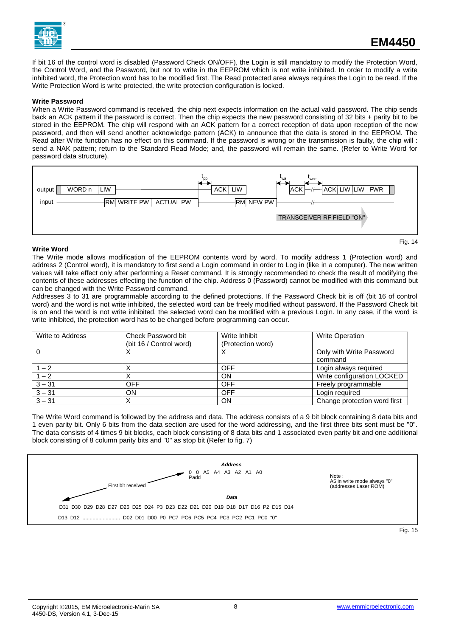

If bit 16 of the control word is disabled (Password Check ON/OFF), the Login is still mandatory to modify the Protection Word, the Control Word, and the Password, but not to write in the EEPROM which is not write inhibited. In order to modify a write inhibited word, the Protection word has to be modified first. The Read protected area always requires the Login to be read. If the Write Protection Word is write protected, the write protection configuration is locked.

#### **Write Password**

When a Write Password command is received, the chip next expects information on the actual valid password. The chip sends back an ACK pattern if the password is correct. Then the chip expects the new password consisting of 32 bits + parity bit to be stored in the EEPROM. The chip will respond with an ACK pattern for a correct reception of data upon reception of the new password, and then will send another acknowledge pattern (ACK) to announce that the data is stored in the EEPROM. The Read after Write function has no effect on this command. If the password is wrong or the transmission is faulty, the chip will : send a NAK pattern; return to the Standard Read Mode; and, the password will remain the same. (Refer to Write Word for password data structure).



#### **Write Word**

Fig. 14

The Write mode allows modification of the EEPROM contents word by word. To modify address 1 (Protection word) and address 2 (Control word), it is mandatory to first send a Login command in order to Log in (like in a computer). The new written values will take effect only after performing a Reset command. It is strongly recommended to check the result of modifying the contents of these addresses effecting the function of the chip. Address 0 (Password) cannot be modified with this command but can be changed with the Write Password command.

Addresses 3 to 31 are programmable according to the defined protections. If the Password Check bit is off (bit 16 of control word) and the word is not write inhibited, the selected word can be freely modified without password. If the Password Check bit is on and the word is not write inhibited, the selected word can be modified with a previous Login. In any case, if the word is write inhibited, the protection word has to be changed before programming can occur.

| Write to Address | Check Password bit      | Write Inhibit     | <b>Write Operation</b>              |
|------------------|-------------------------|-------------------|-------------------------------------|
|                  | (bit 16 / Control word) | (Protection word) |                                     |
|                  | ⌒                       |                   | Only with Write Password<br>command |
| $1 - 2$          |                         | OFF               | Login always required               |
| $1 - 2$          |                         | ΟN                | Write configuration LOCKED          |
| $3 - 31$         | OFF                     | OFF               | Freely programmable                 |
| $3 - 31$         | ON                      | OFF               | Login required                      |
| $3 - 31$         |                         | ON                | Change protection word first        |

The Write Word command is followed by the address and data. The address consists of a 9 bit block containing 8 data bits and 1 even parity bit. Only 6 bits from the data section are used for the word addressing, and the first three bits sent must be "0". The data consists of 4 times 9 bit blocks, each block consisting of 8 data bits and 1 associated even parity bit and one additional block consisting of 8 column parity bits and "0" as stop bit (Refer to fig. 7)

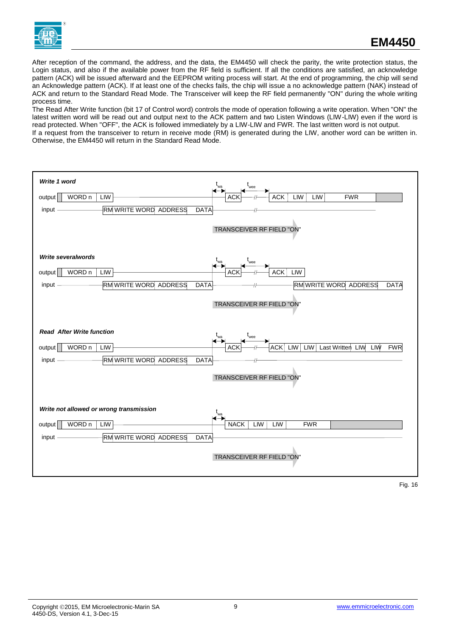

After reception of the command, the address, and the data, the EM4450 will check the parity, the write protection status, the Login status, and also if the available power from the RF field is sufficient. If all the conditions are satisfied, an acknowledge pattern (ACK) will be issued afterward and the EEPROM writing process will start. At the end of programming, the chip will send an Acknowledge pattern (ACK). If at least one of the checks fails, the chip will issue a no acknowledge pattern (NAK) instead of ACK and return to the Standard Read Mode. The Transceiver will keep the RF field permanently "ON" during the whole writing process time.

The Read After Write function (bit 17 of Control word) controls the mode of operation following a write operation. When "ON" the latest written word will be read out and output next to the ACK pattern and two Listen Windows (LIW-LIW) even if the word is read protected. When "OFF", the ACK is followed immediately by a LIW-LIW and FWR. The last written word is not output. If a request from the transceiver to return in receive mode (RM) is generated during the LIW, another word can be written in. Otherwise, the EM4450 will return in the Standard Read Mode.

| Write 1 word<br>wee<br><b>FWR</b><br>LIW<br>WORD n<br>LIW<br><b>ACK</b><br>LIW<br>output<br>ACł<br><b>RM WRITE WORD ADDRESS</b><br>input -<br><b>DATA</b><br>TRANSCEIVER RF FIELD "ON"                                                                   |  |
|----------------------------------------------------------------------------------------------------------------------------------------------------------------------------------------------------------------------------------------------------------|--|
| <b>Write severalwords</b><br>WORD n<br>LIW<br>output<br>LIW<br><b>ACK</b><br>ACŀ<br><b>RMWRITE WORD ADDRESS</b><br>RM WRITE WORD ADDRESS<br>input -<br><b>DATA</b><br><b>DATA</b><br>TRANSCEIVER RF FIELD "ON"                                           |  |
| <b>Read After Write function</b><br>$\mathfrak{r}_{\mathsf{wa}}$<br>wee<br>LIW<br>LIW<br>WORD n<br>LIW<br>LIW<br><b>FWR</b><br>output<br>Last Written<br>LIW<br>ACK<br>ACŀ<br>RM WRITE WORD ADDRESS<br><b>DATA</b><br>input<br>TRANSCEIVER RF FIELD "ON" |  |
| Write not allowed or wrong transmission<br>$t_{wa}$<br>WORD n<br>LIW<br><b>NACK</b><br>output<br>LIW<br>LIW<br><b>FWR</b><br><b>RM WRITE WORD ADDRESS</b><br><b>DATA</b><br>input<br>TRANSCEIVER RF FIELD "ON"                                           |  |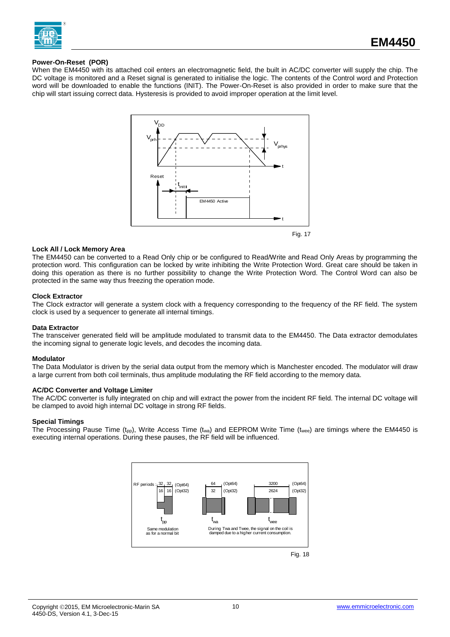

#### **Power-On-Reset (POR)**

When the EM4450 with its attached coil enters an electromagnetic field, the built in AC/DC converter will supply the chip. The DC voltage is monitored and a Reset signal is generated to initialise the logic. The contents of the Control word and Protection word will be downloaded to enable the functions (INIT). The Power-On-Reset is also provided in order to make sure that the chip will start issuing correct data. Hysteresis is provided to avoid improper operation at the limit level.



#### **Lock All / Lock Memory Area**

The EM4450 can be converted to a Read Only chip or be configured to Read/Write and Read Only Areas by programming the protection word. This configuration can be locked by write inhibiting the Write Protection Word. Great care should be taken in doing this operation as there is no further possibility to change the Write Protection Word. The Control Word can also be protected in the same way thus freezing the operation mode.

#### **Clock Extractor**

The Clock extractor will generate a system clock with a frequency corresponding to the frequency of the RF field. The system clock is used by a sequencer to generate all internal timings.

#### **Data Extractor**

The transceiver generated field will be amplitude modulated to transmit data to the EM4450. The Data extractor demodulates the incoming signal to generate logic levels, and decodes the incoming data.

#### **Modulator**

The Data Modulator is driven by the serial data output from the memory which is Manchester encoded. The modulator will draw a large current from both coil terminals, thus amplitude modulating the RF field according to the memory data.

#### **AC/DC Converter and Voltage Limiter**

The AC/DC converter is fully integrated on chip and will extract the power from the incident RF field. The internal DC voltage will be clamped to avoid high internal DC voltage in strong RF fields.

#### **Special Timings**

The Processing Pause Time (t<sub>pp</sub>), Write Access Time (t<sub>wa</sub>) and EEPROM Write Time (t<sub>wee</sub>) are timings where the EM4450 is executing internal operations. During these pauses, the RF field will be influenced.

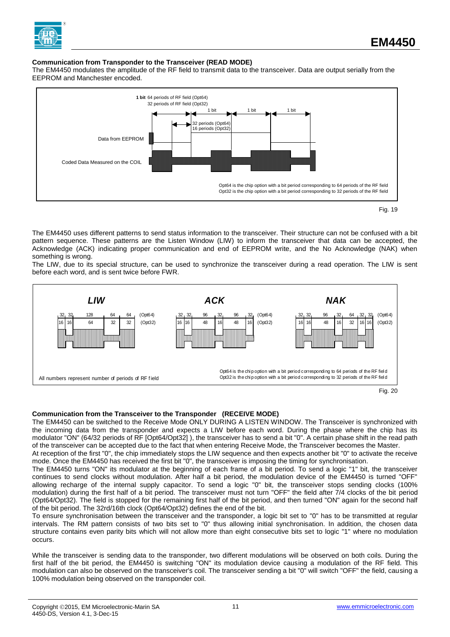

## **Communication from Transponder to the Transceiver (READ MODE)**

The EM4450 modulates the amplitude of the RF field to transmit data to the transceiver. Data are output serially from the EEPROM and Manchester encoded.



Fig. 19

The EM4450 uses different patterns to send status information to the transceiver. Their structure can not be confused with a bit pattern sequence. These patterns are the Listen Window (LIW) to inform the transceiver that data can be accepted, the Acknowledge (ACK) indicating proper communication and end of EEPROM write, and the No Acknowledge (NAK) when something is wrong.

The LIW, due to its special structure, can be used to synchronize the transceiver during a read operation. The LIW is sent before each word, and is sent twice before FWR.



#### **Communication from the Transceiver to the Transponder (RECEIVE MODE)**

The EM4450 can be switched to the Receive Mode ONLY DURING A LISTEN WINDOW. The Transceiver is synchronized with the incoming data from the transponder and expects a LIW before each word. During the phase where the chip has its modulator "ON" (64/32 periods of RF [Opt64/Opt32] ), the transceiver has to send a bit "0". A certain phase shift in the read path of the transceiver can be accepted due to the fact that when entering Receive Mode, the Transceiver becomes the Master.

At reception of the first "0", the chip immediately stops the LIW sequence and then expects another bit "0" to activate the receive mode. Once the EM4450 has received the first bit "0", the transceiver is imposing the timing for synchronisation.

The EM4450 turns "ON" its modulator at the beginning of each frame of a bit period. To send a logic "1" bit, the transceiver continues to send clocks without modulation. After half a bit period, the modulation device of the EM4450 is turned "OFF" allowing recharge of the internal supply capacitor. To send a logic "0" bit, the transceiver stops sending clocks (100% modulation) during the first half of a bit period. The transceiver must not turn "OFF" the field after 7/4 clocks of the bit period (Opt64/Opt32). The field is stopped for the remaining first half of the bit period, and then turned "ON" again for the second half of the bit period. The 32rd/16th clock (Opt64/Opt32) defines the end of the bit.

To ensure synchronisation between the transceiver and the transponder, a logic bit set to "0" has to be transmitted at regular intervals. The RM pattern consists of two bits set to "0" thus allowing initial synchronisation. In addition, the chosen data structure contains even parity bits which will not allow more than eight consecutive bits set to logic "1" where no modulation occurs.

While the transceiver is sending data to the transponder, two different modulations will be observed on both coils. During the first half of the bit period, the EM4450 is switching "ON" its modulation device causing a modulation of the RF field. This modulation can also be observed on the transceiver's coil. The transceiver sending a bit "0" will switch "OFF" the field, causing a 100% modulation being observed on the transponder coil.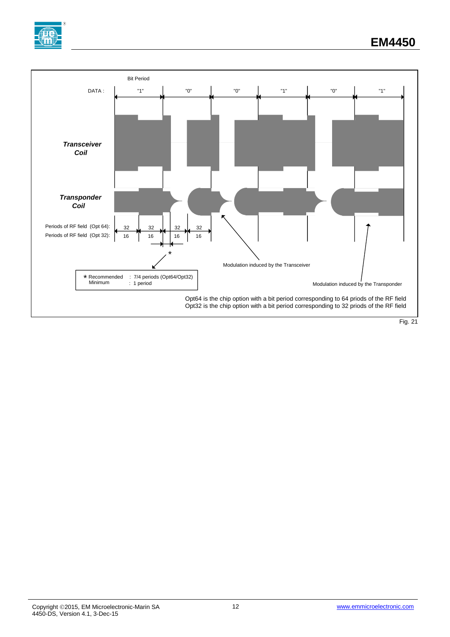

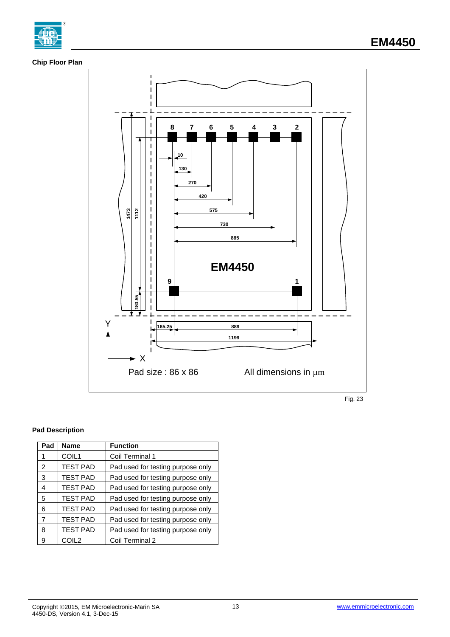

# **Chip Floor Plan**



Fig. 23

# **Pad Description**

| Pad            | <b>Name</b>     | <b>Function</b>                   |
|----------------|-----------------|-----------------------------------|
|                | COIL1           | Coil Terminal 1                   |
| $\overline{2}$ | <b>TEST PAD</b> | Pad used for testing purpose only |
| 3              | <b>TEST PAD</b> | Pad used for testing purpose only |
| 4              | <b>TEST PAD</b> | Pad used for testing purpose only |
| 5              | <b>TEST PAD</b> | Pad used for testing purpose only |
| 6              | <b>TEST PAD</b> | Pad used for testing purpose only |
| 7              | <b>TEST PAD</b> | Pad used for testing purpose only |
| 8              | <b>TEST PAD</b> | Pad used for testing purpose only |
| 9              | COIL2           | Coil Terminal 2                   |